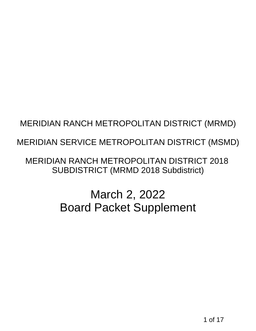## MERIDIAN SERVICE METROPOLITAN DISTRICT (MSMD)

MERIDIAN RANCH METROPOLITAN DISTRICT (MRMD)<br>16 MERIDIAN SERVICE METROPOLITAN DISTRICT (MSMD)<br>16 MERIDIAN RANCH METROPOLITAN DISTRICT 2018<br>5 SUBDISTRICT (MRMD 2018 Subdistrict)<br>16 March 2, 2022<br>16 March 2, 2022<br>16 March Sup MERIDIAN RANCH METROPOLITAN DISTRICT 2018 SUBDISTRICT (MRMD 2018 Subdistrict)

# March 2, 2022 Board Packet Supplement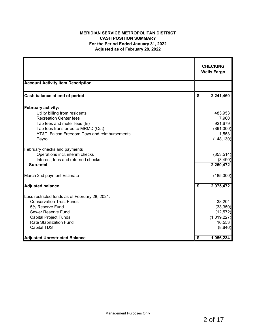## **MERIDIAN SERVICE METROPOLITAN DISTRICT CASH POSITION SUMMARY For the Period Ended January 31, 2022 Adjusted as of February 28, 2022**

|                                                |                  | <b>CHECKING</b><br><b>Wells Fargo</b> |
|------------------------------------------------|------------------|---------------------------------------|
| <b>Account Activity Item Description</b>       |                  |                                       |
| Cash balance at end of period                  | \$               | 2,241,460                             |
| February activity:                             |                  |                                       |
| Utility billing from residents                 |                  | 483,953                               |
| <b>Recreation Center fees</b>                  |                  | 7,960                                 |
| Tap fees and meter fees (In)                   |                  | 921,679                               |
| Tap fees transferred to MRMD (Out)             |                  | (891,000)                             |
| AT&T, Falcon Freedom Days and reimbursements   |                  | 1,553                                 |
| Payroll                                        |                  | (148, 130)                            |
| February checks and payments                   |                  |                                       |
| Operations incl. interim checks                |                  | (353, 514)                            |
| Interest, fees and returned checks             |                  | (3,490)                               |
| Sub-total                                      |                  | 2,260,472                             |
| March 2nd payment Estimate                     |                  | (185,000)                             |
| <b>Adjusted balance</b>                        | $\boldsymbol{s}$ | 2,075,472                             |
| Less restricted funds as of February 28, 2021: |                  |                                       |
| <b>Conservation Trust Funds</b>                |                  | 38,204                                |
| 5% Reserve Fund                                |                  | (33, 350)                             |
| Sewer Reserve Fund                             |                  | (12, 572)                             |
| <b>Capital Project Funds</b>                   |                  | (1,019,227)                           |
| <b>Rate Stabilization Fund</b>                 |                  | 16,553                                |
| <b>Capital TDS</b>                             |                  | (8, 846)                              |
| <b>Adjusted Unrestricted Balance</b>           | \$               | 1,056,234                             |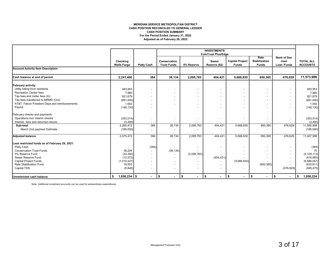#### **MERIDIAN SERVICE METROPOLITAN DISTRICT CASH POSITION RECONCILED TO GENERAL LEDGER For the Period Ended January 31, 2022 Adjusted as of February 28, 2022 CASH POSITION SUMMARY**

|                                                |                                |                          |                                    |                | <b>INVESTMENTS</b>                                          |                                        |                                              |                                                  |                                     |
|------------------------------------------------|--------------------------------|--------------------------|------------------------------------|----------------|-------------------------------------------------------------|----------------------------------------|----------------------------------------------|--------------------------------------------------|-------------------------------------|
|                                                | Checking<br><b>Wells Fargo</b> | <b>Petty Cash</b>        | Conservation<br><b>Trust Funds</b> | 5% Reserve     | <b>ColoTrust Plus/Edge</b><br><b>Sewer</b><br>Reserve (\$2) | <b>Capital Project</b><br><b>Funds</b> | Rate<br><b>Stabilization</b><br><b>Funds</b> | <b>Bank of San</b><br>Juan<br><b>Loan 'Funds</b> | <b>TOTAL ALL</b><br><b>ACCOUNTS</b> |
| <b>Account Activity Item Description</b>       |                                |                          |                                    |                |                                                             |                                        |                                              |                                                  |                                     |
| Cash balance at end of period                  | 2,241,460                      | 384                      | 38,134                             | 2,095,763      | 404.421                                                     | 5,666,830                              | 650,365                                      | 476,629                                          | 11,573,986                          |
| February activity:                             |                                |                          |                                    |                |                                                             |                                        |                                              |                                                  |                                     |
| Utility billing from residents                 | 483,953                        |                          |                                    |                |                                                             |                                        | $\overline{\phantom{a}}$                     |                                                  | 483,953                             |
| <b>Recreation Center fees</b>                  | 7,960                          |                          |                                    |                |                                                             |                                        | $\blacksquare$                               |                                                  | 7,960                               |
| Tap fees and meter fees (In)                   | 921,679                        | $\overline{\phantom{a}}$ | $\overline{\phantom{0}}$           |                |                                                             |                                        | $\blacksquare$                               |                                                  | 921,679                             |
| Tap fees transferred to MRMD (Out)             | (891,000)                      |                          |                                    |                |                                                             |                                        | $\blacksquare$                               |                                                  | (891,000)                           |
| AT&T, Falcon Freedom Days and reimbursements   | 1,553                          |                          |                                    |                |                                                             |                                        | $\overline{\phantom{a}}$                     |                                                  | 1,553                               |
| Payroll                                        | (148, 130)                     |                          |                                    |                |                                                             |                                        | $\overline{\phantom{a}}$                     |                                                  | (148, 130)                          |
| February checks and payments                   |                                |                          |                                    |                |                                                             |                                        |                                              |                                                  |                                     |
| Operations incl. interim checks                | (353, 514)                     | $\overline{\phantom{a}}$ |                                    | $\overline{a}$ |                                                             |                                        | $\overline{\phantom{a}}$                     |                                                  | (353, 514)                          |
| Interest, fees and returned checks             | (3, 490)                       |                          |                                    |                |                                                             |                                        |                                              |                                                  | (3, 490)                            |
| Sub-total                                      | 2,260,472                      | 384                      | 38,134                             | 2,095,763      | 404,421                                                     | 5,666,830                              | 650,365                                      | 476,629                                          | 11,592,998                          |
| March 2nd payment Estimate                     | (185,000)                      |                          |                                    |                |                                                             |                                        |                                              |                                                  | (185,000)                           |
| <b>Adjusted balance</b>                        | 2,075,472                      | 384                      | 38.134                             | 2,095,763      | 404,421                                                     | 5,666,830                              | 650,365                                      | 476,629                                          | 11,407,998                          |
| Less restricted funds as of February 28, 2021: |                                |                          |                                    |                |                                                             |                                        |                                              |                                                  |                                     |
| Petty Cash                                     |                                | (384)                    |                                    |                |                                                             |                                        | $\overline{\phantom{a}}$                     |                                                  | (384)                               |
| <b>Conservation Trust Funds</b>                | 38,204                         | $\overline{\phantom{a}}$ | (38, 134)                          |                |                                                             |                                        |                                              |                                                  | 70                                  |
| 5% Reserve Fund                                | (33, 350)                      | $\overline{\phantom{a}}$ |                                    | (2,095,763)    |                                                             |                                        |                                              |                                                  | (2, 129, 113)                       |
| Sewer Reserve Fund                             | (12, 572)                      |                          |                                    |                | (404, 421)                                                  |                                        |                                              |                                                  | (416,993)                           |
| <b>Capital Project Funds</b>                   | (1,019,227)                    | $\overline{\phantom{0}}$ | $\overline{\phantom{a}}$           |                |                                                             | (5,666,830)                            |                                              |                                                  | (6,686,057)                         |
| Rate Stabilization Fund                        | 16,553                         |                          | $\overline{\phantom{0}}$           |                |                                                             |                                        | (650, 365)                                   |                                                  | (633, 811)                          |
| Capital TDS                                    | (8, 846)                       |                          | $\overline{\phantom{0}}$           |                |                                                             |                                        |                                              | (476, 629)                                       | (485, 475)                          |
| Unrestricted cash balance                      | $1,056,234$ \$<br>\$           | $\blacksquare$           | ∥\$<br>$\blacksquare$              | 1\$<br>$\sim$  | $\sqrt{2}$<br>$\blacksquare$                                | $\sqrt{ }$<br>$\blacksquare$           | \$<br>$\sim$                                 | \$<br>$\blacksquare$                             | 1,056,234<br>\$                     |

Note: Additional investment accounts can be used for extraordinary expenditures.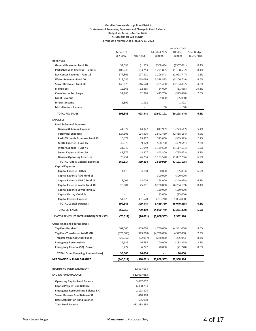#### **Meridian Service Metropolitan District Statement of Revenues, Expenses and Change in Fund Balance Budget vs. Actual - Accrual Basis SUMMARY OF ALL FUNDS For the One Month Ended January 31, 2022**

|                                              | Month of<br>Jan 2022 | <b>YTD Actual</b>        | Adopted 2022<br>Budget | Variance Over<br>(Under)<br><b>Budget</b> | % of Budget<br>(8.3% YTD) |
|----------------------------------------------|----------------------|--------------------------|------------------------|-------------------------------------------|---------------------------|
| <b>REVENUES</b>                              |                      |                          |                        |                                           |                           |
| General Revenue - Fund 10                    | \$1,553              | \$1,553                  | \$368,634              | ( \$367,081)                              | 0.4%                      |
| Parks/Grounds Revenue - Fund 15              | 103,243              | 103,243                  | 1,271,805              | (1, 168, 562)                             | 8.1%                      |
| Rec Center Revenue - Fund 16                 | 177,801              | 177,801                  | 2,206,548              | (2,028,747)                               | 8.1%                      |
| Water Revenue - Fund 40                      | 218,086              | 218,086                  | 3,318,835              | (3, 100, 749)                             | 6.6%                      |
| Sewer Revenue - Fund 50                      | 146,628              | 146,628                  | 3,281,460              | (3, 134, 832)                             | 4.5%                      |
| <b>Billing Fees</b>                          | 12,365               | 12,365                   | 64,000                 | (51, 635)                                 | 19.3%                     |
| <b>Clean Water Surcharge</b>                 | 32,280               | 32,280                   | 425,760                | (393, 480)                                | 7.6%                      |
| <b>Grant Revenue</b>                         | $\sim$               | $\overline{\phantom{a}}$ | 55,000                 | (55,000)                                  |                           |
| <b>Interest Income</b>                       | 1,392                | 1,392                    | $\frac{1}{2}$          | 1,392                                     |                           |
| <b>Miscellaneous Income</b>                  |                      | $\frac{1}{2}$            | 150                    | (150)                                     |                           |
| <b>TOTAL REVENUES</b>                        | 693,348              | 693,348                  | 10,992,192             | (10, 298, 844)                            | 6.3%                      |
| <b>EXPENSES</b>                              |                      |                          |                        |                                           |                           |
| <b>Fund &amp; General Expenses</b>           |                      |                          |                        |                                           |                           |
| General & Admin. Expense                     | 44,372               | 44,372                   | 817,989                | (773, 617)                                | 5.4%                      |
| <b>Personnel Expenses</b>                    | 124,306              | 124,306                  | 2,542,460              | (2,418,154)                               | 4.9%                      |
| Parks/Grounds Expense - Fund 15              | 15,477               | 15,477                   | 575,000                | (559, 523)                                | 2.7%                      |
| <b>MRRC Expense - Fund 16</b>                | 39,079               | 39,079                   | 508,720                | (469, 641)                                | 7.7%                      |
| Water Expense - Fund 40                      | 21,949               | 21,949                   | 1,139,500              | (1, 117, 551)                             | 1.9%                      |
| Sewer Expense - Fund 50                      | 48,377               | 48,377                   | 843,800                | (795, 423)                                | 5.7%                      |
| <b>General Operating Expenses</b>            | 76,254               | 76,254                   | 1,133,520              | (1,057,266)                               | 6.7%                      |
| <b>TOTAL Fund &amp; General Expenses</b>     | 369,814              | 369,814                  | 7,560,989              | (7, 191, 175)                             | 4.9%                      |
| <b>Capital Expenses</b>                      |                      |                          |                        |                                           |                           |
| <b>Capital Expense - Other</b>               | 4,118                | 4,118                    | 60,000                 | (55,883)                                  | 6.9%                      |
| Capital Expense P&G Fund 15                  | L,                   | $\overline{a}$           | 300,000                | (300,000)                                 |                           |
| <b>Capital Expense MRRC Fund 16</b>          | 18,006               | 18,006                   | 268,000                | (249,994)                                 | 6.7%                      |
| <b>Capital Expense Water Fund 40</b>         | 25,801               | 25,801                   | 6,280,000              | (6, 254, 199)                             | 0.4%                      |
| Capital Expense Sewer Fund 50                |                      | $\overline{a}$           | 150,000                | (150,000)                                 |                           |
| <b>Capital Outlay - Vehicle</b>              |                      |                          | 85,000                 | (85,000)                                  |                           |
| <b>Capital Interest Expense</b>              | 351,620              | 351,620                  | (703,240)              | 1,054,860                                 |                           |
| <b>TOTAL Capital Expenses</b>                | 399,545              | 399,545                  | 6,439,760              | (6,040,215)                               | 6.2%                      |
| <b>TOTAL EXPENSES</b>                        | 769,359              | 769,359                  | 14,000,749             | (13, 231, 390)                            | 5.5%                      |
| <b>EXCESS REVENUES OVER (UNDER) EXPENSES</b> | (76, 011)            | (76, 011)                | (3,008,557)            | 2,932,546                                 |                           |
|                                              |                      |                          |                        |                                           |                           |
| <b>Other Financing Sources (Uses)</b>        |                      |                          |                        |                                           |                           |
| <b>Tap Fees Received</b>                     | 409,000              | 409,000                  | 4,750,000              | (4,341,000)                               | 8.6%                      |
| <b>Tap Fees Transferred to MRMD</b>          | (373,000)            | (373,000)                | (4,750,000)            | 4,377,000                                 | 7.9%                      |
| <b>Transfer from (to) Other Funds</b>        | (22, 957)            | (22, 957)                | (278,000)              | 255,043                                   | 8.3%                      |
| <b>Emergency Reserve (5%)</b>                | 16,685               | 16,685                   | 200,000                | (183, 315)                                | 8.3%                      |
| Emergency Reserve (\$2) - Sewer              | 6,272                | 6,272                    | 78,000                 | (71, 728)                                 | 8.0%                      |
| <b>TOTAL Other Financing Sources (Uses)</b>  | 36,000               | 36,000                   |                        | 36,000                                    |                           |
| NET CHANGE IN FUND BALANCE                   | (\$40,011)           | (\$40,011)               | ( \$3,008,557)         | \$2,968,546                               |                           |
| <b>BEGINNING FUND BALANCE**</b>              |                      | 12,667,064               |                        |                                           |                           |
|                                              |                      |                          |                        |                                           |                           |
| <b>ENDING FUND BALANCE</b>                   |                      | \$12,627,053             |                        |                                           |                           |
| <b>Operating Capital Fund Balance</b>        |                      | 3,037,057                |                        |                                           |                           |
| <b>Capital Project Fund Balance</b>          |                      | 6,430,794                |                        |                                           |                           |
| <b>Emergency Reserve Fund Balance 5%</b>     |                      | 2,113,824                |                        |                                           |                           |
| Sewer Reserve Fund Balance \$2               |                      | 410,378                  |                        |                                           |                           |
| <b>Rate Stabilization Fund Balance</b>       |                      | 635,000                  |                        |                                           |                           |
| <b>Total Fund Balance</b>                    |                      | \$12,283,238             |                        |                                           |                           |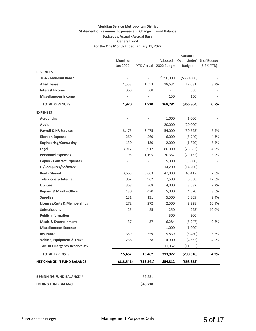## **Meridian Service Metropolitan District Statement of Revenues, Expenses and Change in Fund Balance Budget vs. Actual - Accrual Basis General Fund For the One Month Ended January 31, 2022**

|                                          |                          |                |                                   | Variance                                  |              |
|------------------------------------------|--------------------------|----------------|-----------------------------------|-------------------------------------------|--------------|
|                                          | Month of<br>Jan 2022     |                | Adopted<br>YTD Actual 2022 Budget | Over (Under) % of Budget<br><b>Budget</b> | $(8.3%$ YTD) |
| <b>REVENUES</b>                          |                          |                |                                   |                                           |              |
| <b>IGA - Meridian Ranch</b>              | $\overline{a}$           |                | \$350,000                         | ( \$350,000)                              |              |
| <b>AT&amp;T Lease</b>                    | 1,553                    | 1,553          | 18,634                            | (17,081)                                  | 8.3%         |
| <b>Interest Income</b>                   | 368                      | 368            |                                   | 368                                       |              |
| <b>Miscellaneous Income</b>              |                          |                | 150                               | (150)                                     |              |
| <b>TOTAL REVENUES</b>                    | 1,920                    | 1,920          | 368,784                           | (366, 864)                                | 0.5%         |
| <b>EXPENSES</b>                          |                          |                |                                   |                                           |              |
| <b>Accounting</b>                        | ÷                        |                | 1,000                             | (1,000)                                   |              |
| Audit                                    | ÷                        |                | 20,000                            | (20,000)                                  |              |
| <b>Payroll &amp; HR Services</b>         | 3,475                    | 3,475          | 54,000                            | (50, 525)                                 | 6.4%         |
| <b>Election Expense</b>                  | 260                      | 260            | 6,000                             | (5,740)                                   | 4.3%         |
| <b>Engineering/Consulting</b>            | 130                      | 130            | 2,000                             | (1,870)                                   | 6.5%         |
| Legal                                    | 3,917                    | 3,917          | 80,000                            | (76,083)                                  | 4.9%         |
| <b>Personnel Expenses</b>                | 1,195                    | 1,195          | 30,357                            | (29, 162)                                 | 3.9%         |
| <b>Copier - Contract Expenses</b>        | ÷                        |                | 5,000                             | (5,000)                                   | $\sim$       |
| IT/Computer/Software                     | L,                       |                | 14,200                            | (14, 200)                                 |              |
| <b>Rent - Shared</b>                     | 3,663                    | 3,663          | 47,080                            | (43, 417)                                 | 7.8%         |
| <b>Telephone &amp; Internet</b>          | 962                      | 962            | 7,500                             | (6, 538)                                  | 12.8%        |
| <b>Utilities</b>                         | 368                      | 368            | 4,000                             | (3,632)                                   | 9.2%         |
| <b>Repairs &amp; Maint - Office</b>      | 430                      | 430            | 5,000                             | (4,570)                                   | 8.6%         |
| <b>Supplies</b>                          | 131                      | 131            | 5,500                             | (5,369)                                   | 2.4%         |
| <b>Licenses, Certs &amp; Memberships</b> | 272                      | 272            | 2,500                             | (2,228)                                   | 10.9%        |
| <b>Subscriptions</b>                     | 25                       | 25             | 250                               | (225)                                     | 10.0%        |
| <b>Public Information</b>                | $\frac{1}{2}$            |                | 500                               | (500)                                     |              |
| <b>Meals &amp; Entertainment</b>         | 37                       | 37             | 6,284                             | (6, 247)                                  | 0.6%         |
| <b>Miscellaneous Expense</b>             | $\overline{\phantom{0}}$ |                | 1,000                             | (1,000)                                   |              |
| <b>Insurance</b>                         | 359                      | 359            | 5,839                             | (5,480)                                   | 6.2%         |
| <b>Vehicle, Equipment &amp; Travel</b>   | 238                      | 238            | 4,900                             | (4,662)                                   | 4.9%         |
| <b>TABOR Emergency Reserve 3%</b>        | $\overline{\phantom{0}}$ | $\blacksquare$ | 11,062                            | (11,062)                                  | $\sim$       |
| <b>TOTAL EXPENSES</b>                    | 15,462                   | 15,462         | 313,972                           | (298, 510)                                | 4.9%         |
| <b>NET CHANGE IN FUND BALANCE</b>        | ( \$13,541)              | ( \$13,541)    | \$54,812                          | (568, 353)                                |              |
| <b>BEGINNING FUND BALANCE**</b>          |                          | 62,251         |                                   |                                           |              |
| <b>ENDING FUND BALANCE</b>               |                          | \$48,710       |                                   |                                           |              |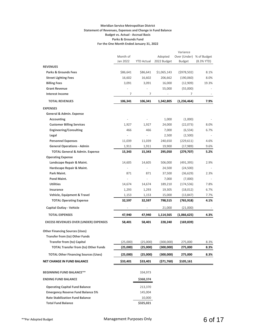#### **Meridian Service Metropolitan District Statement of Revenues, Expenses and Change in Fund Balance Budget vs. Actual - Accrual Basis Parks & Grounds Fund For the One Month Ended January 31, 2022**

|                                              |                          |                          |                        | Variance                                  |              |
|----------------------------------------------|--------------------------|--------------------------|------------------------|-------------------------------------------|--------------|
|                                              | Month of<br>Jan 2022     | <b>YTD Actual</b>        | Adopted<br>2022 Budget | Over (Under) % of Budget<br><b>Budget</b> | $(8.3%$ YTD) |
| <b>REVENUES</b>                              |                          |                          |                        |                                           |              |
| <b>Parks &amp; Grounds Fees</b>              | \$86,641                 | \$86,641                 | \$1,065,143            | (5978, 502)                               | 8.1%         |
| <b>Street Lighting Fees</b>                  | 16,602                   | 16,602                   | 206,662                | (190,060)                                 | 8.0%         |
| <b>Billing Fees</b>                          | 3,091                    | 3,091                    | 16,000                 | (12,909)                                  | 19.3%        |
| <b>Grant Revenue</b>                         |                          |                          | 55,000                 | (55,000)                                  |              |
| <b>Interest Income</b>                       | 7                        | 7                        |                        | 7                                         |              |
| <b>TOTAL REVENUES</b>                        | 106,341                  | 106,341                  | 1,342,805              | (1, 236, 464)                             | 7.9%         |
| <b>EXPENSES</b>                              |                          |                          |                        |                                           |              |
| General & Admin. Expense                     |                          |                          |                        |                                           |              |
| <b>Accounting</b>                            |                          |                          | 1,000                  | (1,000)                                   |              |
| <b>Customer Billing Services</b>             | 1,927                    | 1,927                    | 24,000                 | (22,073)                                  | 8.0%         |
| <b>Engineering/Consulting</b>                | 466                      | 466                      | 7,000                  | (6, 534)                                  | 6.7%         |
| Legal                                        | $\overline{\phantom{a}}$ | $\overline{\phantom{a}}$ | 2,500                  | (2,500)                                   |              |
| <b>Personnel Expenses</b>                    | 11,039                   | 11,039                   | 240,650                | (229, 611)                                | 4.6%         |
| <b>General Operations - Admin</b>            | 1,911                    | 1,911                    | 19,900                 | (17,989)                                  | 9.6%         |
| <b>TOTAL General &amp; Admin. Expense</b>    | 15,343                   | 15,343                   | 295,050                | (279, 707)                                | 5.2%         |
| <b>Operating Expense</b>                     |                          |                          |                        |                                           |              |
| Landscape Repair & Maint.                    | 14,605                   | 14,605                   | 506,000                | (491, 395)                                | 2.9%         |
| Hardscape Repair & Maint.<br>Park Maint.     | $\overline{\phantom{a}}$ |                          | 24,500                 | (24,500)                                  |              |
| Pond Maint.                                  | 871                      | 871                      | 37,500                 | (36, 629)                                 | 2.3%         |
| <b>Utilities</b>                             | 14,674                   | 14,674                   | 7,000<br>189,210       | (7,000)<br>(174, 536)                     | 7.8%         |
| Insurance                                    | 1,293                    | 1,293                    | 19,305                 | (18,012)                                  | 6.7%         |
| Vehicle, Equipment & Travel                  | 1,153                    | 1,153                    | 15,000                 | (13, 847)                                 | 7.7%         |
| <b>TOTAL Operating Expense</b>               | 32,597                   | 32,597                   | 798,515                | (765, 918)                                | 4.1%         |
| <b>Capital Outlay - Vehicle</b>              |                          |                          | 21,000                 | (21,000)                                  |              |
| <b>TOTAL EXPENSES</b>                        | 47,940                   | 47,940                   | 1,114,565              | (1,066,625)                               | 4.3%         |
| <b>EXCESS REVENUES OVER (UNDER) EXPENSES</b> | 58,401                   | 58,401                   | 228,240                | (169, 839)                                |              |
| <b>Other Financing Sources (Uses)</b>        |                          |                          |                        |                                           |              |
| <b>Transfer from (to) Other Funds</b>        |                          |                          |                        |                                           |              |
| <b>Transfer from (to) Capital</b>            | (25,000)                 | (25,000)                 | (300,000)              | 275,000                                   | 8.3%         |
| <b>TOTAL Transfer from (to) Other Funds</b>  | (25,000)                 | (25,000)                 | (300,000)              | 275,000                                   | 8.3%         |
| <b>TOTAL Other Financing Sources (Uses)</b>  | (25,000)                 | (25,000)                 | (300,000)              | 275,000                                   | 8.3%         |
|                                              |                          |                          |                        |                                           |              |
| <b>NET CHANGE IN FUND BALANCE</b>            | \$33,401                 | \$33,401                 | (571,760)              | \$105,161                                 |              |
| <b>BEGINNING FUND BALANCE**</b>              |                          | 334,973                  |                        |                                           |              |
| <b>ENDING FUND BALANCE</b>                   |                          | \$368,374                |                        |                                           |              |
| <b>Operating Capital Fund Balance</b>        |                          | 213,370                  |                        |                                           |              |
| <b>Emergency Reserve Fund Balance 5%</b>     |                          | 145,004                  |                        |                                           |              |
| <b>Rate Stabilization Fund Balance</b>       |                          | 10,000                   |                        |                                           |              |
| <b>Total Fund Balance</b>                    |                          | \$325,021                |                        |                                           |              |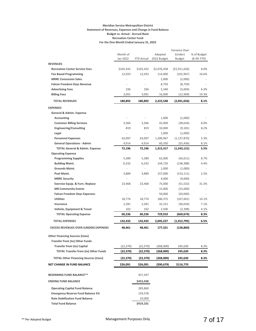#### **Meridian Service Metropolitan District Statement of Revenues, Expenses and Change in Fund Balance Budget vs. Actual - Accrual Basis Recreation Center Fund For the One Month Ended January 31, 2022**

|                                              | Month of<br>Jan 2022         | <b>YTD Actual</b>        | Adopted<br>2022 Budget | Variance Over<br>(Under)<br><b>Budget</b> | % of Budget<br>$(8.3%$ YTD) |
|----------------------------------------------|------------------------------|--------------------------|------------------------|-------------------------------------------|-----------------------------|
| <b>REVENUES</b>                              |                              |                          |                        |                                           |                             |
| <b>Recreation Center Service Fees</b>        | \$165,432                    | \$165,432                | \$2,076,458            | ( \$1,911,026)                            | 8.0%                        |
| <b>Fee Based Programming</b>                 | 12,033                       | 12,033                   | 114,000                | (101, 967)                                | 10.6%                       |
| <b>MRRC Concession Sales</b>                 | ÷,                           |                          | 2,000                  | (2,000)                                   |                             |
| <b>Falcon Freedom Days Revenue</b>           | $\overline{\phantom{a}}$     |                          | 8,750                  | (8,750)                                   |                             |
| <b>Advertising Fees</b>                      | 336                          | 336                      | 5,340                  | (5,004)                                   | 6.3%                        |
| <b>Billing Fees</b>                          | 3,091                        | 3,091                    | 16,000                 | (12,909)                                  | 19.3%                       |
| <b>TOTAL REVENUES</b>                        | 180,892                      | 180,892                  | 2,222,548              | (2,041,656)                               | 8.1%                        |
| <b>EXPENSES</b>                              |                              |                          |                        |                                           |                             |
| General & Admin. Expense                     |                              |                          |                        |                                           |                             |
| <b>Accounting</b>                            |                              |                          | 1,000                  | (1,000)                                   |                             |
| <b>Customer Billing Services</b>             | 3,366                        | 3,366                    | 42,000                 | (38, 634)                                 | 8.0%                        |
| <b>Engineering/Consulting</b>                | 819                          | 819                      | 10,000                 | (9, 181)                                  | 8.2%                        |
| Legal                                        | ä,                           | ÷,                       | 1,000                  | (1,000)                                   |                             |
| <b>Personnel Expenses</b>                    | 63,097                       | 63,097                   | 1,200,967              | (1, 137, 870)                             | 5.3%                        |
| <b>General Operations - Admin</b>            | 4,914                        | 4,914                    | 60,350                 | (55, 436)                                 | 8.1%                        |
| <b>TOTAL General &amp; Admin. Expense</b>    | 72,196                       | 72,196                   | 1,315,317              | (1,243,121)                               | 5.5%                        |
| <b>Operating Expense</b>                     |                              |                          |                        |                                           |                             |
| <b>Programming Supplies</b>                  | 5,389                        | 5,389                    | 62,000                 | (56, 611)                                 | 8.7%                        |
| <b>Building Maint.</b>                       | 6,332                        | 6,332                    | 144,720                | (138, 388)                                | 4.4%                        |
| Grounds Maint.                               | $\qquad \qquad \blacksquare$ | $\overline{\phantom{a}}$ | 1,000                  | (1,000)                                   |                             |
| Pool Maint.                                  | 3,889                        | 3,889                    | 157,000                | (153, 111)                                | 2.5%                        |
| <b>MRRC Security</b>                         | ä,                           | ä,                       | 4,000                  | (4,000)                                   |                             |
| <b>Exercise Equip. &amp; Furn.-Replace</b>   | 23,468                       | 23,468                   | 75,000                 | (51, 532)                                 | 31.3%                       |
| <b>MR Community Events</b>                   | ÷,                           |                          | 15,000                 | (15,000)                                  |                             |
| <b>Falcon Freedom Days Expenses</b>          |                              |                          | 50,000                 | (50,000)                                  |                             |
| <b>Utilities</b>                             | 18,774                       | 18,774                   | 186,375                | (167, 601)                                | 10.1%                       |
| Insurance                                    | 2,281                        | 2,281                    | 32,315                 | (30,034)                                  | 7.1%                        |
| Vehicle, Equipment & Travel                  | 102                          | 102                      | 2,500                  | (2,398)                                   | 4.1%                        |
| <b>TOTAL Operating Expense</b>               | 60,236                       | 60,236                   | 729,910                | (669,674)                                 | 8.3%                        |
| <b>TOTAL EXPENSES</b>                        | 132,432                      | 132,432                  | 2,045,227              | (1,912,795)                               | 6.5%                        |
| <b>EXCESS REVENUES OVER (UNDER) EXPENSES</b> | 48,461                       | 48,461                   | 177,321                | (128,860)                                 |                             |
| <b>Other Financing Sources (Uses)</b>        |                              |                          |                        |                                           |                             |
| <b>Transfer from (to) Other Funds</b>        |                              |                          |                        |                                           |                             |
| <b>Transfer from (to) Capital</b>            | (22, 370)                    | (22, 370)                | (268,000)              | 245,630                                   | 8.3%                        |
| <b>TOTAL Transfer from (to) Other Funds</b>  | (22, 370)                    | (22, 370)                | (268,000)              | 245,630                                   | 8.3%                        |
| <b>TOTAL Other Financing Sources (Uses)</b>  | (22, 370)                    | (22, 370)                | (268,000)              | 245,630                                   | 8.3%                        |
| <b>NET CHANGE IN FUND BALANCE</b>            | \$26,091                     | \$26,091                 | (\$90,679)             | \$116,770                                 |                             |
|                                              |                              |                          |                        |                                           |                             |
| <b>BEGINNING FUND BALANCE**</b>              |                              | 427,347                  |                        |                                           |                             |
| <b>ENDING FUND BALANCE</b>                   |                              | \$453,438                |                        |                                           |                             |
| <b>Operating Capital Fund Balance</b>        |                              | 283,860                  |                        |                                           |                             |
| <b>Emergency Reserve Fund Balance 5%</b>     |                              | 159,578                  |                        |                                           |                             |
| <b>Rate Stabilization Fund Balance</b>       |                              | 10,000                   |                        |                                           |                             |
| <b>Total Fund Balance</b>                    |                              | \$419,101                |                        |                                           |                             |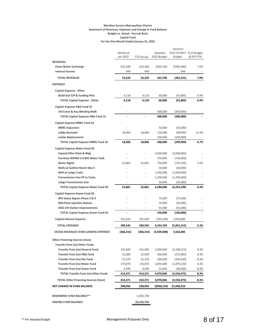#### **Meridian Service Metropolitan District Statement of Revenues, Expenses and Change in Fund Balance Budget vs. Actual - Accrual Basis Capital Fund For the One Month Ended January 31, 2022**

|                                              |                      |                          |                        | Variance                                  |            |
|----------------------------------------------|----------------------|--------------------------|------------------------|-------------------------------------------|------------|
|                                              | Month of<br>Jan 2022 | <b>YTD Actual</b>        | Adopted<br>2022 Budget | Over (Under) % of Budget<br><b>Budget</b> | (8.3% YTD) |
| <b>REVENUES</b>                              |                      |                          |                        |                                           |            |
| <b>Clean Water Surcharge</b>                 | \$32,280             | \$32,280                 | \$425,760              | ( \$393,480)                              | 7.6%       |
| <b>Interest Income</b>                       | 949                  | 949                      |                        | 949                                       |            |
| <b>TOTAL REVENUES</b>                        | 33,229               | 33,229                   | 425,760                | (392,531)                                 | 7.8%       |
| <b>EXPENSES</b>                              |                      |                          |                        |                                           |            |
| <b>Capital Expense - Other</b>               |                      |                          |                        |                                           |            |
| <b>Build-Out CIP &amp; Funding Plan</b>      | 4,118                | 4,118                    | 60,000                 | (55, 883)                                 | 6.9%       |
| <b>TOTAL Capital Expense - Other</b>         | 4,118                | 4,118                    | 60,000                 | (55, 883)                                 | 6.9%       |
| Capital Expense P&G Fund 15                  |                      |                          |                        |                                           |            |
| 3rd Const & Acq-Winding Walk                 |                      |                          | 300,000                | (300,000)                                 |            |
| TOTAL Capital Expense P&G Fund 15            |                      |                          | 300,000                | (300,000)                                 |            |
| Capital Expense MRRC Fund 16                 |                      |                          |                        |                                           |            |
| <b>MRRC Expansion</b>                        |                      |                          | 50,000                 | (50,000)                                  |            |
| <b>Lobby Remodel</b>                         | 18,006               | 18,006                   | 118,000                | (99, 994)                                 | 15.3%      |
| <b>Locker Replacement</b>                    | Ĭ.                   | $\overline{\phantom{a}}$ | 100,000                | (100,000)                                 |            |
| <b>TOTAL Capital Expense MRRC Fund 16</b>    | 18,006               | 18,006                   | 268,000                | (249,994)                                 | 6.7%       |
| Capital Expense Water Fund 40                |                      |                          |                        |                                           |            |
| <b>Expand Filter Plant &amp; Bldg</b>        |                      |                          | 2,000,000              | (2,000,000)                               |            |
| Purchase WHMD 2.0 MG Water Tank              |                      |                          | 750,000                | (750,000)                                 |            |
| <b>Water Rights</b>                          | 25,801               | 25,801                   | 750,000                | (724,199)                                 | 3.4%       |
| <b>Wells at Guthrie Ranch Site 4</b>         |                      |                          | 30,000                 | (30,000)                                  |            |
| <b>Well at Latigo Trails</b>                 |                      |                          | 1,500,000              | (1,500,000)                               |            |
| <b>Transmission Line FP to Tanks</b>         |                      |                          | 1,200,000              | (1,200,000)                               |            |
| <b>Latigo Transmission Line</b>              |                      |                          | 50,000                 | (50,000)                                  |            |
| <b>TOTAL Capital Expense Water Fund 40</b>   | 25,801               | 25,801                   | 6,280,000              | (6,254,199)                               | 0.4%       |
| <b>Capital Expense Sewer Fund 50</b>         |                      |                          |                        |                                           |            |
| WH Sewer Bypass Phase 2 & 3                  |                      |                          | 75,000                 | (75,000)                                  |            |
| <b>Mid-Point Injection Station</b>           |                      |                          | 20,000                 | (20,000)                                  |            |
| <b>2022 Lift Station Improvements</b>        |                      |                          | 55,000                 | (55,000)                                  |            |
| <b>TOTAL Capital Expense Sewer Fund 50</b>   |                      |                          | 150,000                | (150,000)                                 |            |
| <b>Capital Interest Expense</b>              | 351,620              | 351,620                  | (703,240)              | 1,054,860                                 |            |
| <b>TOTAL EXPENSES</b>                        | 399,545              | 399,545                  | 6,354,760              | (5,955,215)                               | 6.3%       |
| <b>EXCESS REVENUES OVER (UNDER) EXPENSES</b> | (366,315)            | (366, 315)               | (5,929,000)            | 5,562,685                                 |            |
| <b>Other Financing Sources (Uses)</b>        |                      |                          |                        |                                           |            |
| <b>Transfer from (to) Other Funds</b>        |                      |                          |                        |                                           |            |
| <b>Transfer from (to) General Fund</b>       | 191,685              | 191,685                  | 2,300,000              | (2, 108, 315)                             | 8.3%       |
| Transfer from (to) P&G Fund                  | 25,000               | 25,000                   | 300,000                | (275,000)                                 | 8.3%       |
| <b>Transfer from (to) Rec Fund</b>           | 22,370               | 22,370                   | 268,000                | (245, 630)                                | 8.3%       |
| <b>Transfer from (to) Water Fund</b>         | 170,870              | 170,870                  | 2,050,000              | (1,879,130)                               | 8.3%       |
| <b>Transfer from (to) Sewer Fund</b>         | 4,446                | 4,446                    | 52,846                 | (48, 400)                                 | 8.4%       |
| <b>TOTAL Transfer from (to) Other Funds</b>  | 414,371              | 414,371                  | 4,970,846              | (4,556,475)                               | 8.3%       |
| <b>TOTAL Other Financing Sources (Uses)</b>  | 414,371              | 414,371                  | 4,970,846              | (4,556,475)                               | 8.3%       |
| <b>NET CHANGE IN FUND BALANCE</b>            | \$48,056             | \$48,056                 | (\$958,154)            | \$1,006,210                               |            |
|                                              |                      |                          |                        |                                           |            |
| <b>BEGINNING FUND BALANCE**</b>              |                      | 6,382,738                |                        |                                           |            |
| <b>ENDING FUND BALANCE</b>                   |                      | \$6,430,794              |                        |                                           |            |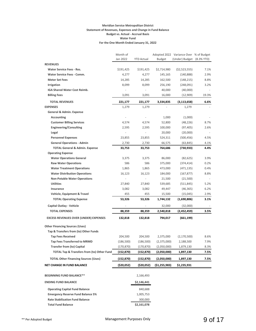#### **Meridian Service Metropolitan District Statement of Revenues, Expenses and Change in Fund Balance Budget vs. Actual - Accrual Basis Water Fund For the One Month Ended January 31, 2022**

|                                                       | Month of<br>Jan 2022 | <b>YTD Actual</b>        | <b>Budget</b>    | Adopted 2022 Variance Over % of Budget<br>(Under) Budget (8.3% YTD) |       |
|-------------------------------------------------------|----------------------|--------------------------|------------------|---------------------------------------------------------------------|-------|
|                                                       |                      |                          |                  |                                                                     |       |
| <b>REVENUES</b><br><b>Water Service Fees - Res.</b>   |                      |                          | \$2,714,980      |                                                                     | 7.1%  |
| <b>Water Service Fees - Comm.</b>                     | \$191,425<br>4,277   | \$191,425<br>4,277       | 145,165          | (52, 523, 555)<br>(140, 888)                                        | 2.9%  |
| <b>Meter Set Fees</b>                                 | 14,285               |                          | 162,500          | (148, 215)                                                          | 8.8%  |
| Irrigation                                            | 8,099                | 14,285<br>8,099          |                  |                                                                     | 3.2%  |
| IGA Shared Water Cost Reimb.                          |                      | ÷,                       | 256,190          | (248,091)                                                           |       |
| <b>Billing Fees</b>                                   | 3,091                | 3,091                    | 40,000<br>16,000 | (40,000)<br>(12,909)                                                | 19.3% |
|                                                       |                      |                          |                  |                                                                     |       |
| <b>TOTAL REVENUES</b>                                 | 221,177              | 221,177                  | 3,334,835        | (3, 113, 658)                                                       | 6.6%  |
| <b>EXPENSES</b>                                       | 1,279                | 1,279                    |                  | 1,279                                                               |       |
| General & Admin. Expense                              |                      |                          |                  |                                                                     |       |
| <b>Accounting</b>                                     |                      | $\overline{\phantom{a}}$ | 1,000            | (1,000)                                                             |       |
| <b>Customer Billing Services</b>                      | 4,574                | 4,574                    | 52,800           | (48, 226)                                                           | 8.7%  |
| <b>Engineering/Consulting</b>                         | 2,595                | 2,595                    | 100,000          | (97, 405)                                                           | 2.6%  |
| Legal                                                 |                      | ÷,                       | 20,000           | (20,000)                                                            |       |
| <b>Personnel Expenses</b>                             | 23,855               | 23,855                   | 524,311          | (500, 456)                                                          | 4.5%  |
| <b>General Operations - Admin</b>                     | 2,730                | 2,730                    | 66,575           | (63, 845)                                                           | 4.1%  |
| <b>TOTAL General &amp; Admin. Expense</b>             | 33,753               | 33,753                   | 764,686          | (730,933)                                                           | 4.4%  |
| <b>Operating Expense</b>                              |                      |                          |                  |                                                                     |       |
| <b>Water Operations General</b>                       | 3,375                | 3,375                    | 86,000           | (82, 625)                                                           | 3.9%  |
| <b>Raw Water Operations</b>                           | 586                  | 586                      | 375,000          | (374, 414)                                                          | 0.2%  |
| <b>Water Treatment Operations</b>                     | 1,865                | 1,865                    | 473,000          | (471, 135)                                                          | 0.4%  |
| <b>Water Distribution Operations</b>                  | 16,123               | 16,123                   | 184,000          | (167, 877)                                                          | 8.8%  |
| <b>Non-Potable Water Operations</b>                   |                      |                          | 21,500           | (21,500)                                                            |       |
| <b>Utilities</b>                                      | 27,840               | 27,840                   | 539,685          | (511, 845)                                                          | 5.2%  |
| Insurance                                             | 3,082                | 3,082                    | 49,447           | (46, 365)                                                           | 6.2%  |
| Vehicle, Equipment & Travel                           | 455                  | 455                      | 15,500           | (15,045)                                                            | 2.9%  |
| <b>TOTAL Operating Expense</b>                        | 53,326               | 53,326                   | 1,744,132        | (1,690,806)                                                         | 3.1%  |
| Capital Outlay - Vehicle                              |                      |                          | 32,000           | (32,000)                                                            |       |
| <b>TOTAL EXPENSES</b>                                 | 88,359               | 88,359                   | 2,540,818        | (2,452,459)                                                         | 3.5%  |
| <b>EXCESS REVENUES OVER (UNDER) EXPENSES</b>          | 132,818              | 132,818                  | 794,017          | (661,199)                                                           |       |
| <b>Other Financing Sources (Uses)</b>                 |                      |                          |                  |                                                                     |       |
| Tap & Transfers from (to) Other Funds                 |                      |                          |                  |                                                                     |       |
| <b>Tap Fees Received</b>                              | 204,500              | 204,500                  | 2,375,000        | (2, 170, 500)                                                       | 8.6%  |
| <b>Tap Fees Transferred to MRMD</b>                   | (186, 500)           | (186, 500)               | (2,375,000)      | 2,188,500                                                           | 7.9%  |
| <b>Transfer from (to) Capital</b>                     | (170, 870)           | (170, 870)               | (2,050,000)      | 1,879,130                                                           | 8.3%  |
| <b>TOTAL Tap &amp; Transfers from (to) Other Fund</b> | (152, 870)           | (152, 870)               | (2,050,000)      | 1,897,130                                                           | 7.5%  |
| <b>TOTAL Other Financing Sources (Uses)</b>           | (152,870)            | (152,870)                | (2,050,000)      | 1,897,130                                                           | 7.5%  |
| <b>NET CHANGE IN FUND BALANCE</b>                     | (\$20,052)           | ( \$20,052)              | ( \$1,255,983)   | \$1,235,931                                                         |       |
|                                                       |                      |                          |                  |                                                                     |       |
| <b>BEGINNING FUND BALANCE**</b>                       |                      | 2,166,493                |                  |                                                                     |       |
| <b>ENDING FUND BALANCE</b>                            |                      | \$2,146,441              |                  |                                                                     |       |
| <b>Operating Capital Fund Balance</b>                 |                      | 840,688                  |                  |                                                                     |       |
| <b>Emergency Reserve Fund Balance 5%</b>              |                      | 1,005,753                |                  |                                                                     |       |
| <b>Rate Stabilization Fund Balance</b>                |                      | 300,000                  |                  |                                                                     |       |
| <b>Total Fund Balance</b>                             |                      | \$2,161,078              |                  |                                                                     |       |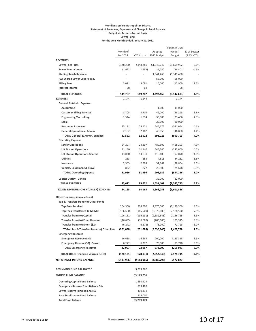#### **Meridian Service Metropolitan District Statement of Revenues, Expenses and Change in Fund Balance Budget vs. Actual - Accrual Basis Sewer Fund For the One Month Ended January 31, 2022**

|                                              |                       |                   |               | Variance Over |             |
|----------------------------------------------|-----------------------|-------------------|---------------|---------------|-------------|
|                                              | Month of              |                   | Adopted       | (Under)       | % of Budget |
|                                              | Jan 2022              | <b>YTD Actual</b> | 2022 Budget   | <b>Budget</b> | (8.3% YTD)  |
| <b>REVENUES</b>                              |                       |                   |               |               |             |
| Sewer Fees - Res.                            | \$148,280             | \$148,280         | \$1,848,242   | (\$1,699,962) | 8.0%        |
| Sewer Fees - Comm.                           | (1,652)               | (1,652)           | 36,750        | (38, 402)     | $-4.5%$     |
| <b>Sterling Ranch Revenue</b>                |                       |                   | 1,341,468     | (1,341,468)   |             |
| IGA Shared Sewer Cost Reimb.                 |                       |                   | 55,000        | (55,000)      |             |
| <b>Billing Fees</b>                          | 3,091                 | 3,091             | 16,000        | (12,909)      | 19.3%       |
| <b>Interest Income</b>                       | 68                    | 68                |               | 68            |             |
| <b>TOTAL REVENUES</b>                        | 149,787               | 149,787           | 3,297,460     | (3, 147, 673) | 4.5%        |
| <b>EXPENSES</b>                              | 1,144                 | 1,144             |               | 1,144         |             |
| General & Admin. Expense                     |                       |                   |               |               |             |
| Accounting                                   |                       |                   | 1,000         | (1,000)       |             |
| <b>Customer Billing Services</b>             | 3,705                 | 3,705             | 42,000        | (38, 295)     | 8.8%        |
| <b>Engineering/Consulting</b>                | 1,514                 | 1,514             | 35,000        | (33, 486)     | 4.3%        |
| Legal                                        |                       |                   | 20,000        | (20,000)      |             |
| <b>Personnel Expenses</b>                    | 25,121                | 25,121            | 546,175       | (521, 054)    | 4.6%        |
| <b>General Operations - Admin</b>            | 2,182                 | 2,182             | 49,050        | (46, 868)     | 4.4%        |
| <b>TOTAL General &amp; Admin. Expense</b>    | 32,522                | 32,522            | 693,225       | (660, 703)    | 4.7%        |
| <b>Operating Expense</b>                     |                       |                   |               |               |             |
| <b>Sewer Operations</b>                      | 24,207                | 24,207            | 489,500       | (465, 293)    | 4.9%        |
| <b>Lift Station Operations</b>               | 11,140                | 11,140            | 244,200       | (233,060)     | 4.6%        |
| <b>Lift Station Operations-Shared</b>        | 13,030                | 13,030            | 110,100       | (97,070)      | 11.8%       |
| <b>Utilities</b>                             | 253                   | 253               | 4,515         | (4, 262)      | 5.6%        |
| Insurance                                    | 2,503                 | 2,503             | 31,367        | (28, 864)     | 8.0%        |
| Vehicle, Equipment & Travel                  | 822                   | 822               | 26,500        | (25, 678)     | 3.1%        |
| <b>TOTAL Operating Expense</b>               | 51,956                | 51,956            | 906,182       | (854,226)     | 5.7%        |
|                                              |                       |                   |               |               |             |
| Capital Outlay - Vehicle                     |                       |                   | 32,000        | (32,000)      |             |
| <b>TOTAL EXPENSES</b>                        | 85,622                | 85,622            | 1,631,407     | (1,545,785)   | 5.2%        |
| <b>EXCESS REVENUES OVER (UNDER) EXPENSES</b> | 64,165                | 64,165            | 1,666,053     | (1,601,888)   |             |
| <b>Other Financing Sources (Uses)</b>        |                       |                   |               |               |             |
| Tap & Transfers from (to) Other Funds        |                       |                   |               |               |             |
| <b>Tap Fees Received</b>                     | 204,500               | 204,500           | 2,375,000     | (2, 170, 500) | 8.6%        |
| <b>Tap Fees Transferred to MRMD</b>          | (186, 500)            | (186, 500)        | (2,375,000)   | 2,188,500     | 7.9%        |
| <b>Transfer from (to) Capital</b>            | (196, 131)            | (196, 131)        | (2,352,846)   | 2,156,715     | 8.3%        |
| <b>Transfer from (to) Emer Reserve</b>       | (16, 685)             | (16, 685)         | (200,000)     | 183,315       | 8.3%        |
| Transfer from (to) Emer. (\$2)               |                       |                   | (78,000)      | 71,728        | 8.0%        |
| TOTAL Tap & Transfers from (to) Other Fun    | (6, 272)<br>(201,088) | (6, 272)          | (2,630,846)   |               | 7.6%        |
|                                              |                       | (201,088)         |               | 2,429,758     |             |
| <b>Emergency Reserves</b>                    |                       |                   |               |               |             |
| <b>Emergency Reserve (5%)</b>                | 16,685                | 16,685            | 200,000       | (183, 315)    | 8.3%        |
| Emergency Reserve (\$2) - Sewer              | 6,272                 | 6,272             | 78,000        | (71, 728)     | 8.0%        |
| <b>TOTAL Emergency Reserves</b>              | 22,957                | 22,957            | 278,000       | (255,043)     | 8.3%        |
| <b>TOTAL Other Financing Sources (Uses)</b>  | (178,131)             | (178,131)         | (2,352,846)   | 2,174,715     | 7.6%        |
| NET CHANGE IN FUND BALANCE                   | (\$113,966)           | (\$113,966)       | ( \$686, 793) | \$572,827     |             |
|                                              |                       |                   |               |               |             |
| <b>BEGINNING FUND BALANCE**</b>              |                       | 3,293,262         |               |               |             |
| <b>ENDING FUND BALANCE</b>                   |                       | \$3,179,296       |               |               |             |
| <b>Operating Capital Fund Balance</b>        |                       | 1,650,429         |               |               |             |
| <b>Emergency Reserve Fund Balance 5%</b>     |                       | 803,489           |               |               |             |
| Sewer Reserve Fund Balance \$2               |                       | 410,378           |               |               |             |
| <b>Rate Stabilization Fund Balance</b>       |                       | 315,000           |               |               |             |
| <b>Total Fund Balance</b>                    |                       | \$3,289,379       |               |               |             |
|                                              |                       |                   |               |               |             |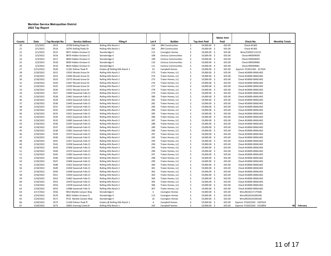#### **Meridian Service Metropolitan District 2022 Tap Report**

|        |                        |                 |                         |                                 |                |                                        |                    |                              | <b>Meter Amt</b> |                                                |                       |
|--------|------------------------|-----------------|-------------------------|---------------------------------|----------------|----------------------------------------|--------------------|------------------------------|------------------|------------------------------------------------|-----------------------|
| Counts | Date                   | Tap Receipt No. | <b>Service Address</b>  | Filing #                        | Lot #          | <b>Builder</b>                         |                    | <b>Tap Amt Paid</b>          | Paid             | Check No.                                      | <b>Monthly Totals</b> |
| 20     | 2/1/2022               | 3513            | 10790 Rolling Peaks Dr  | Rolling Hills Ranch 1           | 234            | <b>ZRH Construction</b>                | \$                 | 19,000.00 \$                 | 655.00           | Check #1305                                    |                       |
| 21     | 2/1/2022               | 3514            | 10791 Rolling Peaks Dr  | Rolling Hills Ranch 1           | 263            | <b>ZRH Construction</b>                | \$                 | 19,000.00 \$                 | 655.00           | Check #1305                                    |                       |
| 22     | 2/1/2022               | 3515            | 9871 Hidden Enclave Ct  | Stonebridge 4                   | 115            | <b>Covington Homes</b>                 | \$                 | 19,000.00 \$                 | 655.00           | Wire/220201115215                              |                       |
| 23     | 2/3/2022               | 3516            | 9870 Hidden Enclave Ct  | Stonebridge 4                   | 108            | <b>Century Communities</b>             | \$                 | 19,000.00 \$                 | 655.00           | Check #00509058                                |                       |
| 24     | 2/3/2022               | 3517            | 9850 Hidden Enclave Ct  | Stonebridge 4                   | 109            | <b>Century Communities</b>             | Ś.                 | 19,000.00 \$                 | 655.00           | Check E00509059                                |                       |
| 25     | 2/3/2022               | 3518            | 9830 Hidden Enclave Ct  | Stonebridge 4                   | 110            | <b>Century Communities</b>             | \$                 | 19,000.00 \$                 | 655.00           | Check #00509060                                |                       |
| 26     | 2/3/2022               | 3519            | 9810 Hidden Enclave Ct  | Stonebridge 4                   | 111            | <b>Century Communities</b>             | \$                 | 19,000.00 \$                 | 655.00           | Check #00509061                                |                       |
| 27     | 2/15/2022              | 3520            | 11361 Palmer Peak Pl    | Estates @ Rolling Hills Ranch 1 | 10             | Campbell Homes                         | \$                 | 19,000.00 \$                 | 655.00           | Epymnt: P22021402 - 417024                     |                       |
| 28     | 2/18/2022              | 3521            | 13591 Woods Grove Dr    | Rolling Hills Ranch 2           | 273            | Tralon Homes, LLC                      | \$                 | 19,000.00 \$                 | 655.00           | Check #10000-00061402                          |                       |
| 29     | 2/18/2022              | 3522            | 13583 Woods Grove Dr    | Rolling Hills Ranch 2           | 274            | Tralon Homes, LLC                      | \$                 | 19,000.00 \$                 | 655.00           | Check #10000-00061402                          |                       |
| 30     | 2/18/2022              | 3523            | 13575 Woods Grove Dr    | Rolling Hills Ranch 2           | 275            | Tralon Homes, LLC                      | \$                 | 19,000.00 \$                 | 655.00           | Check #10000-00061402                          |                       |
| 31     | 2/18/2022              | 3524            | 13567 Woods Grove Dr    | Rolling Hills Ranch 2           | 276            | Tralon Homes, LLC                      | \$                 | 19,000.00 \$                 | 655.00           | Check #10000-00061402                          |                       |
| 32     | 2/18/2022              | 3525            | 13559 Woods Grove Dr    | Rolling Hills Ranch 2           | 277            | Tralon Homes, LLC                      | \$                 | 19,000.00 \$                 | 655.00           | Check #10000-00061402                          |                       |
| 33     | 2/18/2022              | 3526            | 13551 Woods Grove Dr    | Rolling Hills Ranch 2           | 278            | Tralon Homes, LLC                      | \$                 | 19,000.00 \$                 | 655.00           | Check #10000-00061402                          |                       |
| 34     | 2/18/2022              | 3527            | 13469 Savannah Falls Ct | Rolling Hills Ranch 2           | 279            | Tralon Homes, LLC                      | \$                 | 19,000.00 \$                 | 655.00           | Check #10000-00061402                          |                       |
| 35     | 2/18/2022              | 3528            | 13461 Savannah Falls Ct | Rolling Hills Ranch 2           | 280            | Tralon Homes, LLC                      | \$                 | 19,000.00 \$                 | 655.00           | Check #10000-00061402                          |                       |
| 36     | 2/18/2022              | 3529            | 13453 Savannah Falls Ct | Rolling Hills Ranch 2           | 281            | Tralon Homes, LLC                      | \$                 | 19,000.00 \$                 | 655.00           | Check #10000-00061402                          |                       |
| 37     | 2/18/2022              | 3530            | 13445 Savannah Falls Ct | Rolling Hills Ranch 2           | 282            | Tralon Homes, LLC                      | \$                 | 19,000.00 \$                 | 655.00           | Check #10000-00061402                          |                       |
| 38     | 2/18/2022              | 3531            | 13437 Savannah Falls Ct | Rolling Hills Ranch 2           | 283            | Tralon Homes, LLC                      | \$                 | 19,000.00 \$                 | 655.00           | Check #10000-00061402                          |                       |
| 39     | 2/18/2022              | 3532            | 13429 Savannah Falls Ct | Rolling Hills Ranch 2           | 284            | Tralon Homes, LLC                      | \$                 | 19,000.00 \$                 | 655.00           | Check #10000-00061402                          |                       |
| 40     | 2/18/2022              | 3533            | 13421 Savannah Falls Ct | Rolling Hills Ranch 2           | 285            | Tralon Homes, LLC                      | \$                 | 19,000.00 \$                 | 655.00           | Check #10000-00061402                          |                       |
| 41     | 2/18/2022              | 3534            | 13413 Savannah Falls Ct | Rolling Hills Ranch 2           | 286            | Tralon Homes, LLC                      | Ś                  | 19,000.00 \$                 | 655.00           | Check #10000-00061402                          |                       |
| 42     | 2/18/2022              | 3535            | 13405 Savannah Falls Ct | Rolling Hills Ranch 2           | 287            | Tralon Homes, LLC                      | \$                 | 19,000.00 \$                 | 655.00           | Check #10000-00061402                          |                       |
| 43     | 2/18/2022              | 3536            | 13397 Savannah Falls Ct | Rolling Hills Ranch 2           | 288            | Tralon Homes, LLC                      | $\mathsf{\hat{S}}$ | 19,000.00 \$                 | 655.00           | Check #10000-00061402                          |                       |
| 44     | 2/18/2022              | 3537            | 13389 Savannah Falls Ct | Rolling Hills Ranch 2           | 289            | Tralon Homes, LLC                      | \$                 | 19,000.00 \$                 | 655.00           | Check #10000-00061402                          |                       |
| 45     | 2/18/2022              | 3538            | 13381 Savannah Falls Ct | Rolling Hills Ranch 2           | 290            | Tralon Homes, LLC                      | $\mathsf{\hat{S}}$ | 19,000.00 \$                 | 655.00           | Check #10000-00061402                          |                       |
| 46     | 2/18/2022              | 3539            | 13373 Savannah Falls Ct | Rolling Hills Ranch 2           | 291            | Tralon Homes, LLC                      | \$                 | 19,000.00 \$                 | 655.00           | Check #10000-00061402                          |                       |
| 47     | 2/18/2022              | 3540            | 13365 Savannah Falls Ct | Rolling Hills Ranch 2           | 292            | Tralon Homes, LLC                      | Ś                  | 19,000.00 \$                 | 655.00           | Check #10000-00061402                          |                       |
| 48     | 2/18/2022              | 3541            | 13357 Savannah Falls Ct | Rolling Hills Ranch 2           | 293            | Tralon Homes, LLC                      | \$                 | 19,000.00 \$                 | 655.00           | Check #10000-00061402                          |                       |
| 49     | 2/18/2022              | 3542            | 13358 Savannah Falls Ct | Rolling Hills Ranch 2           | 294            | Tralon Homes, LLC                      | Ś                  | 19,000.00 \$                 | 655.00           | Check #10000-00061402                          |                       |
| 50     |                        | 3543            |                         | Rolling Hills Ranch 2           | 295            |                                        | \$                 |                              | 655.00           |                                                |                       |
| 51     | 2/18/2022<br>2/18/2022 | 3544            | 13366 Savannah Falls Ct | Rolling Hills Ranch 2           | 296            | Tralon Homes, LLC<br>Tralon Homes, LLC | Ś                  | 19,000.00 \$<br>19,000.00 \$ | 655.00           | Check #10000-00061402<br>Check #10000-00061402 |                       |
| 52     |                        | 3545            | 13374 Savannah Falls Ct |                                 | 297            |                                        | \$                 | 19,000.00 \$                 |                  |                                                |                       |
| 53     | 2/18/2022              | 3546            | 13382 Savannah Falls Ct | Rolling Hills Ranch 2           | 298            | Tralon Homes, LLC                      | Ś                  | 19,000.00 \$                 | 655.00           | Check #10000-00061402                          |                       |
|        | 2/18/2022              |                 | 13390 Savannah Falls Ct | Rolling Hills Ranch 2           |                | Tralon Homes, LLC                      |                    |                              | 655.00           | Check #10000-00061402                          |                       |
| 54     | 2/18/2022              | 3547            | 13406 Savannah Falls Ct | Rolling Hills Ranch 2           | 299            | Tralon Homes, LLC                      | \$                 | 19,000.00 \$                 | 655.00           | Check #10000-00061402                          |                       |
| 55     | 2/18/2022              | 3548            | 13422 Savannah Falls Ct | Rolling Hills Ranch 2           | 300            | Tralon Homes, LLC                      | \$                 | 19,000.00 \$                 | 655.00           | Check #10000-00061402                          |                       |
| 56     | 2/18/2022              | 3549            | 13430 Savannah Falls Ct | Rolling Hills Ranch 2           | 301            | Tralon Homes, LLC                      | \$                 | 19,000.00 \$                 | 655.00           | Check #10000-00061402                          |                       |
| 57     | 2/18/2022              | 3550            | 13438 Savannah Falls Ct | Rolling Hills Ranch 2           | 302            | Tralon Homes, LLC                      | Ś                  | 19,000.00 \$                 | 655.00           | Check #10000-00061402                          |                       |
| 58     | 2/18/2022              | 3551            | 13454 Savannah Falls Ct | Rolling Hills Ranch 2           | 303            | Tralon Homes, LLC                      | \$                 | 19,000.00 \$                 | 655.00           | Check #10000-00061402                          |                       |
| 59     | 2/18/2022              | 3552            | 13462 Savannah Falls Ct | Rolling Hills Ranch 2           | 304            | Tralon Homes, LLC                      | \$                 | 19,000.00 \$                 | 655.00           | Check #10000-00061402                          |                       |
| 60     | 2/18/2022              | 3553            | 13470 Savannah Falls Ct | Rolling Hills Ranch 2           | 305            | Tralon Homes, LLC                      | \$                 | 19,000.00 \$                 | 655.00           | Check #10000-00061402                          |                       |
| 61     | 2/18/2022              | 3554            | 13478 Savannah Falls Ct | Rolling Hills Ranch 2           | 306            | Tralon Homes, LLC                      | \$                 | 19,000.00 \$                 | 655.00           | Check #10000-00061402                          |                       |
| 62     | 2/18/2022              | 3555            | 13486 Savannah Falls Ct | Rolling Hills Ranch 2           | 307            | Tralon Homes, LLC                      | \$                 | 19,000.00 \$                 | 655.00           | Check #10000-00061402                          |                       |
| 63     | 2/17/2022              | 3556            | 9813 Marble Canyon Way  | Stonebridge 4                   | 6              | <b>Covington Homes</b>                 | \$                 | 19,000.00 \$                 | 655.00           | Wire/#220217175506                             |                       |
| 64     | 2/24/2022              | 3570            | 9831 Hidden Enclave Ct  | Stonebridge 4                   | 113            | Covington Homes                        | \$                 | 19,000.00 \$                 | 655.00           | Wire/#220224200160                             |                       |
| 65     | 2/24/2022              | 3571            | 9722 Marble Canyon Way  | Stonebridge 4                   | 16             | <b>Covington Homes</b>                 | \$                 | 19,000.00 \$                 | 655.00           | Wire/#220224200160                             |                       |
| 66     | 2/28/2022              | 3572            | 11240 Palmer Peak Pl    | Estates @ Rolling Hills Ranch 1 | $\overline{4}$ | Campbell Homes                         | Ś                  | 19,000.00 \$                 | 655.00           | Epymnt: P22022502 - 5307622                    |                       |
| 67     | 2/28/2022              | 3573            | 10825 Evening Creek Dr  | Rolling Hills Ranch 1           | 163            | Campbell Homes                         | \$                 | 19,000.00 \$                 | 655.00           | Epymnt: P22022502 - 5310854                    | 48                    |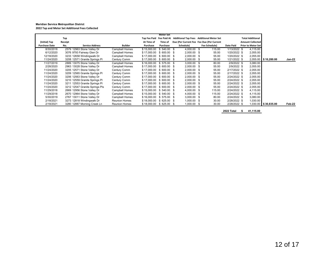#### **Meridian Service Metropolitan District 2022 Tap and Meter Set Additional Fees Collected**

|                      |         |                                |                       |             | <b>Meter Set</b> |      |               |      |                                                                   |              |                           |                        |        |
|----------------------|---------|--------------------------------|-----------------------|-------------|------------------|------|---------------|------|-------------------------------------------------------------------|--------------|---------------------------|------------------------|--------|
|                      | Tap     |                                |                       |             |                  |      |               |      | Tap Fee Paid Fee Paid At Additional Tap Fees Additional Meter Set |              | <b>Total Additional</b>   |                        |        |
| (Initial) Tap        | Receipt |                                |                       | At Time of  | Time of          |      |               |      | Due (Per Current Fee Fee Due (Per Current                         |              | <b>Amount Collected</b>   |                        |        |
| <b>Purchase Date</b> | No.     | <b>Service Address</b>         | <b>Builder</b>        | Purchase    | Purchase         |      | Schedule)     |      | Fee Schedule)                                                     | Date Paid    | <b>Prior to Meter Set</b> |                        |        |
| 8/30/2018            |         | 2579 12963 Stone Valley Dr     | Campbell Homes        | \$15,000.00 | \$540.00         |      | 4,000.00      | - \$ | 115.00                                                            | 1/13/2022 \$ | 4.115.00                  |                        |        |
| 6/12/2020            |         | 3076 9793 Fairway Glen Dr      | Campbell Homes        | \$17.000.00 | \$600.00 \$      |      | $2,000.00$ \$ |      | 55.00                                                             | 1/20/2022 \$ | 2,055.00                  |                        |        |
| 12/18/2020           |         | 3233 12658 Windingwalk Dr      | <b>Campbell Homes</b> | \$17,000.00 | \$600.00 \$      |      | 2,000.00 \$   |      | 55.00                                                             | 1/20/2022 \$ | 2,055.00                  |                        |        |
| 11/24/2020           |         | 3208 12571 Granite Springs Pl  | Century Comm          | \$17,000.00 | \$600.00         | - \$ | $2,000.00$ \$ |      | 55.00                                                             | 1/21/2022 \$ |                           | 2,055.00 \$10,280.00   | Jan-22 |
| 11/27/2019           |         | 2889 13075 Stone Valley Dr     | Campbell Homes        | \$16,000.00 | \$575.00 \$      |      | $3,000.00$ \$ |      | 80.00                                                             | 2/9/2022 \$  | 3.080.00                  |                        |        |
| 2/28/2020            |         | 2963 13028 Stone Valley Dr     | <b>Campbell Homes</b> | \$17.000.00 | \$600.00 \$      |      | $2,000.00$ \$ |      | 55.00                                                             | 2/9/2022 \$  | 2,055.00                  |                        |        |
| 11/24/2020           |         | 3205 12571 Stone Valley Dr     | Century Comm          | \$17,000.00 | \$600.00 \$      |      | $2,000.00$ \$ |      | 55.00                                                             | 2/17/2022 \$ | 2,055.00                  |                        |        |
| 11/24/2020           |         | 3209 12565 Granite Springs PI  | Century Comm          | \$17,000.00 | \$ 600.00        |      | $2,000.00$ \$ |      | 55.00                                                             | 2/17/2022 \$ | 2,055.00                  |                        |        |
| 11/24/2020           |         | 3206 12563 Stone Valley Dr     | Century Comm          | \$17.000.00 | \$600.00 \$      |      | $2,000.00$ \$ |      | 55.00                                                             | 2/24/2022 \$ | 2.055.00                  |                        |        |
| 11/24/2020           |         | 3210 12559 Granite Springs PI  | Century Comm          | \$17,000.00 | - \$<br>600.00   |      | 2,000.00 \$   |      | 55.00                                                             | 2/24/2022 \$ | 2,055.00                  |                        |        |
| 11/24/2020           |         | 3211 12553 Granite Springs Pl  | Century Comm          | \$17,000.00 | \$600.00 \$      |      | $2,000.00$ \$ |      | 55.00                                                             | 2/24/2022 \$ | 2,055.00                  |                        |        |
| 11/24/2020           |         | 3212 12547 Granite Springs Pls | Century Comm          | \$17,000.00 | 600.00 \$<br>-S  |      | $2,000.00$ \$ |      | 55.00                                                             | 2/24/2022 \$ | 2,055.00                  |                        |        |
| 11/29/2018           |         | 2669 12956 Stone Valley Dr     | Campbell Homes        | \$15,000.00 | \$540.00 \$      |      | 4,000.00 \$   |      | 115.00                                                            | 2/24/2022 \$ | 4,115.00                  |                        |        |
| 11/29/2018           |         | 2670 12964 Stone Valley Dr     | Campbell Homes        | \$15,000.00 | \$540.00 \$      |      | 4,000.00 \$   |      | 115.00                                                            | 2/24/2022 \$ | 4,115.00                  |                        |        |
| 5/30/2019            |         | 2767 13011 Stone Valley Dr     | Campbell Homes        | \$16,000.00 | \$575.00         |      | $3,000.00$ \$ |      | 80.00                                                             | 2/24/2022 \$ | 3,080.00                  |                        |        |
| 2/18/2021            |         | 3273 12818 Windingwalk Dr      | <b>Reunion Homes</b>  | \$18,000.00 | $$625.00$ \$     |      | $1,000.00$ \$ |      | 30.00                                                             | 2/28/2022 \$ | 1,030.00                  |                        |        |
| 2/18/2021            |         | 3280 12887 Morning Creek Ln    | <b>Reunion Homes</b>  | \$18,000.00 | \$ 625.00        |      | 1,000.00 \$   |      | 30.00                                                             | 2/28/2022 \$ |                           | $1,030.00$ \$30,835.00 | Feb-22 |

**2022 Total \$ 41,115.00**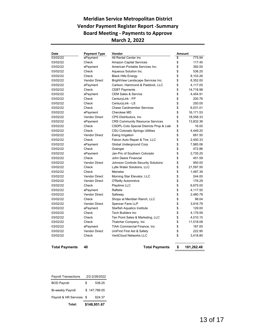## **Meridian Service Metropolitan District Vendor Payment Register Report -Summary Board Meeting - Payments to Approve March 2, 2022**

| Date     | <b>Payment Type</b>  | Vendor                                   | Amount |           |  |
|----------|----------------------|------------------------------------------|--------|-----------|--|
| 03/02/22 | ePayment             | All Rental Center Inc.                   | \$     | 775.94    |  |
| 03/02/22 | Check                | <b>Amazon Capital Services</b>           | \$     | 117.40    |  |
| 03/02/22 | ePayment             | American Portable Services Inc.          | \$     | 392.00    |  |
| 03/02/22 | Check                | Aqueous Solution Inc.                    | \$     | 536.25    |  |
| 03/02/22 | Check                | <b>Black Hills Energy</b>                | \$     | 8,103.26  |  |
| 03/02/22 | <b>Vendor Direct</b> | BrightView Landscape Services Inc.       | \$     | 8,352.00  |  |
| 03/02/22 | ePayment             | Carlson, Hammond & Paddock, LLC          | \$     | 4,117.05  |  |
| 03/02/22 | Check                | <b>CEBT Payments</b>                     | \$     | 14,718.98 |  |
| 03/02/22 | ePayment             | <b>CEM Sales &amp; Service</b>           | \$     | 4,454.91  |  |
| 03/02/22 | Check                | CenturyLink - FP                         | \$     | 200.76    |  |
| 03/02/22 | Check                | CenturyLink - LS                         | \$     | 250.05    |  |
| 03/02/22 | Check                | <b>Chase Cardmember Services</b>         | \$     | 6,031.01  |  |
| 03/02/22 | ePayment             | Cherokee MD                              | \$     | 16,171.53 |  |
| 03/02/22 | <b>Vendor Direct</b> | CPS Distributors, Inc.                   | \$     | 18,558.33 |  |
| 03/02/22 | ePayment             | <b>CRS Community Resource Services</b>   | \$     | 13,832.36 |  |
| 03/02/22 | Check                | CSDPL-Colo Special Districts Prop & Liab | \$     | 16.00     |  |
| 03/02/22 | Check                | <b>CSU Colorado Springs Utilities</b>    | \$     | 4,449.20  |  |
| 03/02/22 | <b>Vendor Direct</b> | Ewing Irrigation                         | \$     | 681.50    |  |
| 03/02/22 | Check                | Falcon Auto Repair & Tire, LLC           | \$     | 2,450.33  |  |
| 03/02/22 | ePayment             | Global Underground Corp                  | \$     | 7,985.06  |  |
| 03/02/22 | Check                | Grainger                                 | \$     | 472.86    |  |
| 03/02/22 | ePayment             | Jan-Pro of Southern Colorado             | \$     | 2,735.25  |  |
| 03/02/22 | Check                | John Deere Financial                     | \$     | 451.59    |  |
| 03/02/22 | <b>Vendor Direct</b> | Johnson Controls Security Solutions      | \$     | 950.00    |  |
| 03/02/22 | Check                | Lytle Water Solutions, LLC               | \$     | 21,597.50 |  |
| 03/02/22 | Check                | Meineke                                  | \$     | 1,487.39  |  |
| 03/02/22 | <b>Vendor Direct</b> | Morning Star Elevator, LLC               | \$     | 244.00    |  |
| 03/02/22 | <b>Vendor Direct</b> | O'Reilly Automotive                      | \$     | 176.29    |  |
| 03/02/22 | Check                | Playtime LLC                             | \$     | 6,675.00  |  |
| 03/02/22 | ePayment             | Raftelis                                 | \$     | 4,117.50  |  |
| 03/02/22 | <b>Vendor Direct</b> | Safeway                                  | \$     | 2,480.78  |  |
| 03/02/22 | Check                | Shops at Meridian Ranch, LLC             | \$     | 98.04     |  |
| 03/02/22 | <b>Vendor Direct</b> | Spencer Fane LLP                         | \$     | 3,916.79  |  |
| 03/02/22 | ePayment             | Starfish Aquatics Institute              | \$     | 129.00    |  |
| 03/02/22 | Check                | <b>Tech Builders Inc</b>                 | \$     | 4,179.59  |  |
| 03/02/22 | Check                | Ten Point Sales & Marketing, LLC         | \$     | 4,010.15  |  |
| 03/02/22 | Check                | Thatcher Company, Inc.                   | \$     | 11,518.08 |  |
| 03/02/22 | ePayment             | <b>TIAA Commercial Finance, Inc</b>      | \$     | 187.00    |  |
| 03/02/22 | <b>Vendor Direct</b> | UniFirst First Aid & Safety              | \$     | 222.95    |  |
| 03/02/22 | Check                | <b>VertiCloud Networks LLC</b>           | \$     | 3,418.80  |  |

**Total Payments 40 Total Payments \$ 181,262.48**

| Total:                      | \$148,951.67  |              |  |
|-----------------------------|---------------|--------------|--|
| Payroll & HR Services: \$   |               | 624.37       |  |
| Bi-weekly Payroll:          |               | \$147,789.05 |  |
| <b>BOD Payroll:</b>         | \$            | 538.25       |  |
| <b>Payroll Transactions</b> | 2/2-2/28/2022 |              |  |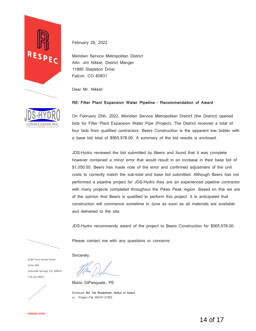

February 28, 2022

Meridian Service Metropolitan District Attn: Jim Nikkel, District Manger 11886 Stapleton Drive Falcon, CO 80831

Dear Mr. Nikkel:

## **RE: Filter Plant Expansion Water Pipeline – Recommendation of Award**

On February 25th, 2022, Meridian Service Metropolitan District (the District) opened bids for Filter Plant Expansion Water Pipe (Project). The District received a total of four bids from qualified contractors. Beers Construction is the apparent low bidder with a base bid total of \$965,978.00. A summary of the bid results is enclosed.

JDS-Hydro reviewed the bid submitted by Beers and found that it was complete however contained a minor error that would result in an increase in their base bid of \$1,050.00. Beers has made note of the error and confirmed adjustment of the unit costs to correctly match the sub-total and base bid submitted. Although Beers has not performed a pipeline project for JDS-Hydro they are an experienced pipeline contractor with many projects completed throughout the Pikes Peak region. Based on this we are of the opinion that Beers is qualified to perform this project. It is anticipated that construction will commence sometime in June as soon as all materials are available and delivered to the site.

JDS-Hydro recommends award of the project to Beers Construction for \$965,978.00.

Please contact me with any questions or concerns.

5540 Tech Center Drive Suite 100 Colorado Springs, CO 80919 719.227.0072



Sincerely,

Mario DiPasquale, PE

Enclosure Bid Tab Breakdown, Notice of Award cc: Project File W0151.21053

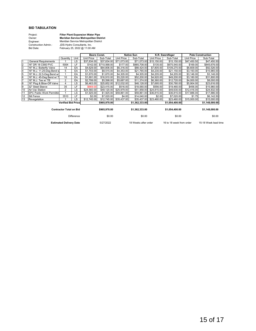#### **BID TABULATION**

| Project:                   |
|----------------------------|
| Owner:                     |
| Engineer:                  |
| <b>Construction Admin.</b> |
| Bid Date:                  |

Construction Admin.: JDS-Hydro Consultants, Inc. **Meridian Service Metropolitan District** Meridian Service Metropolitan District February 25, 2022 @ 11:00 AM **Filter Plant Expansion Water Pipe**

|                                |                                  | Beers Const.              |              | Native Sun  |                | K.R. Swerdfeger      |                | <b>Pate Construction</b> |                |                      |                |
|--------------------------------|----------------------------------|---------------------------|--------------|-------------|----------------|----------------------|----------------|--------------------------|----------------|----------------------|----------------|
|                                |                                  | Quantity                  | Unit         | Unit Price  | Sub-Total      | Unit Price           | Sub-Total      | <b>Unit Price</b>        | Sub-Total      | Unit Price           | Sub-Total      |
|                                | <b>General Requirements</b>      |                           | LS           | \$37.834.00 | \$37,834.00    | \$71.073.00          | \$71,073.00    | \$15,150.00              | \$15,150.00    | \$47,450.50          | \$47,450.50    |
|                                | 16" DR 18 C900 PVC               | 5004                      | LF           | \$142.00    | \$710,568.00   | \$177.00             | \$885,708.00   | \$135.00                 | \$675,540.00   | \$169.00             | \$845,676.00   |
|                                | 16" M.J. Butterfly Valve         | 14                        | EA           | \$4,629.00  | \$64,806.00    | \$6,316.00           | \$88,424.00    | \$7,805.00               | \$109,270.00   | \$6,609.00           | \$92,526.00    |
| 4                              | 16" M.J. 11.25-Dea Bend w        | 5                         | EA           | \$1,703.00  | \$8,515.00     | \$4,353.00           | \$21,765.00    | \$4,230.00               | \$21,150.00    | \$3,193.00           | \$15,965.00    |
| 5                              | 16" M.J. 22.5-Deg Bend w/        |                           | EA           | \$1,670.00  | \$1,670.00     | \$4,305.00           | \$4,305.00     | \$4,205.00               | \$4,205.00     | \$3,146.00           | \$3,146.00     |
|                                | 16" M.J. 45-Deg Bend w/ T        | 10                        | EA           | \$1,691.00  | \$16,910.00    | \$5,220.00           | \$52,200.00    | \$4,920.00               | \$49,200.00    | \$3,180.00           | \$31,800.00    |
|                                | 16" M.J. Tee w/ TB               | $\overline{2}$            | EA           | \$2,799.00  | \$5,598.00     | \$5,687.00           | \$11,374.00    | \$6,360.00               | \$12,720.00    | \$4,000.00           | \$8,000.00     |
| 8                              | 16" Plug & Blow-Off Valve        | 4                         | <b>LS</b>    | \$6,463.00  | \$25,852.00    | \$12,032.00          | \$48,128.00    | \$7,695.00               | \$30,780.00    | \$5,904.00           | \$23,616.00    |
| 9                              | 32" Steel Sleeve                 | 35                        | LF           | \$669.00    | \$23,415.00    | \$516.00             | \$18,060.00    | \$556.00                 | \$19,460.00    | \$456.00             | \$15,960.00    |
| 10                             | Air-Vac Station                  | $\overline{2}$            | LS           | \$24,560.00 | \$49.120.00    | \$25,979.00          | \$51,958.00    | \$24,815.00              | \$49,630.00    | \$12,416.00          | \$24,832.00    |
| 11                             | <b>EPC Public Work Permittin</b> |                           | LS           | \$1,925.00  | \$1,925.00     | \$59,861.00          |                | \$59,861.00 \$36,815.00  | \$36,815.00    | \$17,886.00          | \$17,886.00    |
| 12                             | Silt Fence                       | 3510                      | LF           | \$2.00      | \$7,020.00     | \$4.00               | \$14,040.00    | \$2.00                   | \$7,020.00     | \$1.75               | \$6,142.50     |
| 13                             | Revegetation                     |                           | LS.          | \$12,745.00 | \$12,745.00    | \$35.437.00          | \$35,437.00    | \$23,460,00              | \$23,460.00    | \$15,000.00          | \$15,000.00    |
|                                |                                  | <b>Verified Bid Price</b> |              |             | \$965,978.00   |                      | \$1,362,333.00 |                          | \$1,054,400.00 |                      | \$1,148,000.00 |
| <b>Contractor Total on Bid</b> |                                  |                           | \$965,978.00 |             | \$1,362,333.00 |                      | \$1,054,400.00 |                          | \$1,148,000.00 |                      |                |
| Difference                     |                                  |                           | \$0.00       |             | \$0.00         |                      | \$0.00         |                          | \$0.00         |                      |                |
| <b>Estimated Delivery Date</b> |                                  |                           |              | 5/27/2022   |                | 18 Weeks after order |                | 16 to 18 week from order |                | 15-18 Week lead time |                |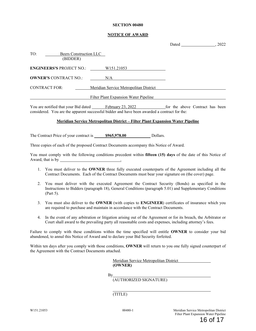#### **SECTION 00480**

### **NOTICE OF AWARD**

Dated 2022

| TO: | (BIDDER)                        | Beers Construction LLC                 |  |
|-----|---------------------------------|----------------------------------------|--|
|     | <b>ENGINEERS'S PROJECT NO.:</b> | W151.21053                             |  |
|     | <b>OWNER'S CONTRACT NO.:</b>    | N/A                                    |  |
|     | <b>CONTRACT FOR:</b>            | Meridian Service Metropolitan District |  |
|     |                                 | Filter Plant Expansion Water Pipeline  |  |

You are notified that your Bid dated February 23, 2022 for the above Contract has been considered. You are the apparent successful bidder and have been awarded a contract for the:

#### **Meridian Service Metropolitan District – Filter Plant Expansion Water Pipeline**

The Contract Price of your contract is  $$965,978.00$  Dollars.

Three copies of each of the proposed Contract Documents accompany this Notice of Award.

You must comply with the following conditions precedent within **fifteen (15) days** of the date of this Notice of Award, that is by ...

- 1. You must deliver to the **OWNER** three fully executed counterparts of the Agreement including all the Contract Documents. Each of the Contract Documents must bear your signature on (the cover) page.
- 2. You must deliver with the executed Agreement the Contract Security (Bonds) as specified in the Instructions to Bidders (paragraph 18), General Conditions (paragraph 5.01) and Supplementary Conditions (Part 5).
- 3. You must also deliver to the **OWNER** (with copies to **ENGINEER**) certificates of insurance which you are required to purchase and maintain in accordance with the Contract Documents.
- 4. In the event of any arbitration or litigation arising out of the Agreement or for its breach, the Arbitrator or Court shall award to the prevailing party all reasonable costs and expenses, including attorney's fees.

Failure to comply with these conditions within the time specified will entitle **OWNER** to consider your bid abandoned, to annul this Notice of Award and to declare your Bid Security forfeited.

Within ten days after you comply with those conditions, **OWNER** will return to you one fully signed counterpart of the Agreement with the Contract Documents attached.

> Meridian Service Metropolitan District **(OWNER)**

By

(AUTHORIZED SIGNATURE)

(TITLE)